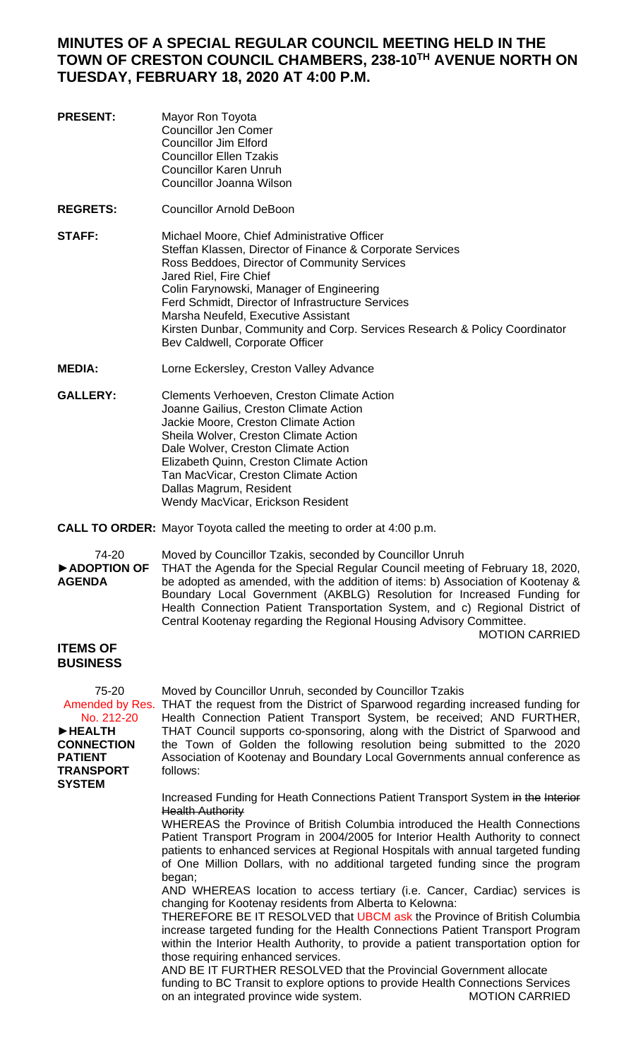## **MINUTES OF A SPECIAL REGULAR COUNCIL MEETING HELD IN THE TOWN OF CRESTON COUNCIL CHAMBERS, 238-10TH AVENUE NORTH ON TUESDAY, FEBRUARY 18, 2020 AT 4:00 P.M.**

- **PRESENT:** Mayor Ron Toyota Councillor Jen Comer Councillor Jim Elford Councillor Ellen Tzakis Councillor Karen Unruh Councillor Joanna Wilson
- **REGRETS:** Councillor Arnold DeBoon
- **STAFF:** Michael Moore, Chief Administrative Officer Steffan Klassen, Director of Finance & Corporate Services Ross Beddoes, Director of Community Services Jared Riel, Fire Chief Colin Farynowski, Manager of Engineering Ferd Schmidt, Director of Infrastructure Services Marsha Neufeld, Executive Assistant Kirsten Dunbar, Community and Corp. Services Research & Policy Coordinator Bev Caldwell, Corporate Officer
- **MEDIA:** Lorne Eckersley, Creston Valley Advance
- **GALLERY:** Clements Verhoeven, Creston Climate Action Joanne Gailius, Creston Climate Action Jackie Moore, Creston Climate Action Sheila Wolver, Creston Climate Action Dale Wolver, Creston Climate Action Elizabeth Quinn, Creston Climate Action Tan MacVicar, Creston Climate Action Dallas Magrum, Resident Wendy MacVicar, Erickson Resident
- **CALL TO ORDER:** Mayor Toyota called the meeting to order at 4:00 p.m.

74-20 Moved by Councillor Tzakis, seconded by Councillor Unruh

►**ADOPTION OF AGENDA**

THAT the Agenda for the Special Regular Council meeting of February 18, 2020, be adopted as amended, with the addition of items: b) Association of Kootenay & Boundary Local Government (AKBLG) Resolution for Increased Funding for Health Connection Patient Transportation System, and c) Regional District of Central Kootenay regarding the Regional Housing Advisory Committee. MOTION CARRIED

## **ITEMS OF BUSINESS**

75-20 No. 212-20 ►**HEALTH CONNECTION PATIENT TRANSPORT SYSTEM**

Amended by Res. THAT the request from the District of Sparwood regarding increased funding for Health Connection Patient Transport System, be received; AND FURTHER, THAT Council supports co-sponsoring, along with the District of Sparwood and the Town of Golden the following resolution being submitted to the 2020 Association of Kootenay and Boundary Local Governments annual conference as follows:

Moved by Councillor Unruh, seconded by Councillor Tzakis

Increased Funding for Heath Connections Patient Transport System in the Interior **Health Authority** 

WHEREAS the Province of British Columbia introduced the Health Connections Patient Transport Program in 2004/2005 for Interior Health Authority to connect patients to enhanced services at Regional Hospitals with annual targeted funding of One Million Dollars, with no additional targeted funding since the program began;

AND WHEREAS location to access tertiary (i.e. Cancer, Cardiac) services is changing for Kootenay residents from Alberta to Kelowna:

THEREFORE BE IT RESOLVED that UBCM ask the Province of British Columbia increase targeted funding for the Health Connections Patient Transport Program within the Interior Health Authority, to provide a patient transportation option for those requiring enhanced services.

AND BE IT FURTHER RESOLVED that the Provincial Government allocate funding to BC Transit to explore options to provide Health Connections Services on an integrated province wide system.